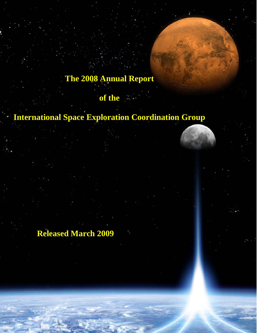# **The 2008 Annual Report**

**of the** 

# **International Space Exploration Coordination Group**

**Released March 2009**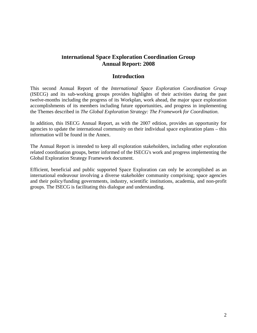# **International Space Exploration Coordination Group Annual Report: 2008**

## **Introduction**

This second Annual Report of the *International Space Exploration Coordination Group*  (ISECG) and its sub-working groups provides highlights of their activities during the past twelve-months including the progress of its Workplan, work ahead, the major space exploration accomplishments of its members including future opportunities, and progress in implementing the Themes described in *The Global Exploration Strategy: The Framework for Coordination*.

In addition, this ISECG Annual Report, as with the 2007 edition, provides an opportunity for agencies to update the international community on their individual space exploration plans – this information will be found in the Annex.

The Annual Report is intended to keep all exploration stakeholders, including other exploration related coordination groups, better informed of the ISECG's work and progress implementing the Global Exploration Strategy Framework document.

Efficient, beneficial and public supported Space Exploration can only be accomplished as an international endeavour involving a diverse stakeholder community comprising; space agencies and their policy/funding governments, industry, scientific institutions, academia, and non-profit groups. The ISECG is facilitating this dialogue and understanding.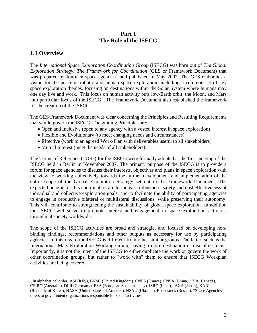# **Part 1 The Role of the ISECG**

# **1.1 Overview**

1

The *International Space Exploration Coordination Group* (ISECG) was born out of *The Global Exploration Strategy: The Framework for Coordination* (GES or Framework Document) that was prepared by fourteen space agencies<sup>[1](#page-2-0)</sup> and published in May 2007. The GES elaborates a vision for the peaceful robotic and human space exploration, including a common set of key space exploration themes, focusing on destinations within the Solar System where humans may one day live and work. This focus on human activity puts low-Earth orbit, the Moon, and Mars into particular focus of the ISECG. The Framework Document also established the framework for the creation of the ISECG.

The GES/Framework Document was clear concerning the Principles and Resulting Requirements that would govern the ISECG. The guiding Principles are:

- Open and Inclusive (open to any agency with a vested interest in space exploration)
- Flexible and Evolutionary (to meet changing needs and circumstances)
- Effective (work to an agreed Work-Plan with deliverables useful to all stakeholders)
- Mutual Interest (meet the needs of all stakeholders)

The Terms of Reference (TORs) for the ISECG were formally adopted at the first meeting of the ISECG held in Berlin in November 2007. The primary purpose of the ISECG is to provide a forum for space agencies to discuss their interests, objectives and plans in space exploration with the view to working collectively towards the further development and implementation of the entire scope of the Global Exploration Strategy set out in the Framework Document. The expected benefits of this coordination are to increase robustness, safety and cost effectiveness of individual and collective exploration goals, and to facilitate the ability of participating agencies to engage in productive bilateral or multilateral discussions, while preserving their autonomy. This will contribute to strengthening the sustainability of global space exploration. In addition the ISECG will strive to promote interest and engagement in space exploration activities throughout society worldwide.

The scope of the ISECG activities are broad and strategic, and focused on developing nonbinding findings, recommendations and other outputs as necessary for use by participating agencies. In this regard the ISECG is different from other similar groups. The latter, such as the International Mars Exploration Working Group, having a more destination or discipline focus. Importantly, it is not the intent of the ISECG to either duplicate the work or govern the work of other coordination groups, but rather to "work with" them to ensure that ISECG Workplan activities are being covered.

<span id="page-2-0"></span><sup>&</sup>lt;sup>1</sup> In alphabetical order: ASI (Italy), BNSC (United Kingdom), CNES (France), CNSA (China), CSA (Canada), CSIRO (Australia), DLR (Germany), ESA (European Space Agency), ISRO (India), JAXA (Japan), KARI (Republic of Korea), NASA (United States of America), NSAU (Ukraine), Roscosmos (Russia). "Space Agencies" refers to government organizations responsible for space activities.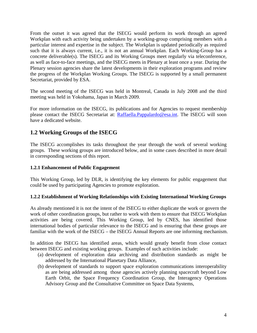From the outset it was agreed that the ISECG would perform its work through an agreed Workplan with each activity being undertaken by a working-group comprising members with a particular interest and expertise in the subject. The Workplan is updated periodically as required such that it is always current, i.e., it is not an annual Workplan. Each Working-Group has a concrete deliverable(s). The ISECG and its Working Groups meet regularly via teleconference, as well as face-to-face meetings, and the ISECG meets in Plenary at least once a year. During the Plenary session agencies share the latest developments in their exploration programs and review the progress of the Workplan Working Groups. The ISECG is supported by a small permanent Secretariat, provided by ESA.

The second meeting of the ISECG was held in Montreal, Canada in July 2008 and the third meeting was held in Yokohama, Japan in March 2009.

For more information on the ISECG, its publications and for Agencies to request membership please contact the ISECG Secretariat at: [Raffaella.Pappalardo@esa.int](mailto:Raffaella.Pappalardo@esa.int). The ISECG will soon have a dedicated website.

# **1.2 Working Groups of the ISECG**

The ISECG accomplishes its tasks throughout the year through the work of several working groups. These working groups are introduced below, and in some cases described in more detail in corresponding sections of this report.

## **1.2.1 Enhancement of Public Engagement**

This Working Group, led by DLR, is identifying the key elements for public engagement that could be used by participating Agencies to promote exploration.

## **1.2.2 Establishment of Working Relationships with Existing International Working Groups**

As already mentioned it is not the intent of the ISECG to either duplicate the work or govern the work of other coordination groups, but rather to work with them to ensure that ISECG Workplan activities are being covered. This Working Group, led by CNES, has identified those international bodies of particular relevance to the ISECG and is ensuring that these groups are familiar with the work of the ISECG – the ISECG Annual Reports are one informing mechanism.

In addition the ISECG has identified areas, which would greatly benefit from close contact between ISECG and existing working groups. Examples of such activities include:

- (a) development of exploration data archiving and distribution standards as might be addressed by the International Planetary Data Alliance,
- (b) development of standards to support space exploration communications interoperability as are being addressed among those agencies actively planning spacecraft beyond Low Earth Orbit, the Space Frequency Coordination Group, the Interagency Operations Advisory Group and the Consultative Committee on Space Data Systems,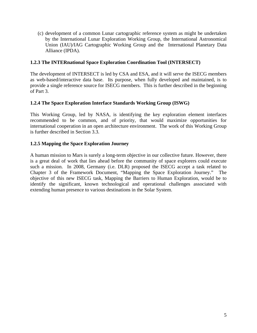(c) development of a common Lunar cartographic reference system as might be undertaken by the International Lunar Exploration Working Group, the International Astronomical Union (IAU)/IAG Cartographic Working Group and the International Planetary Data Alliance (IPDA).

## **1.2.3 The INTERnational Space Exploration Coordination Tool (INTERSECT)**

The development of INTERSECT is led by CSA and ESA, and it will serve the ISECG members as web-based/interactive data base. Its purpose, when fully developed and maintained, is to provide a single reference source for ISECG members. This is further described in the beginning of Part 3.

## **1.2.4 The Space Exploration Interface Standards Working Group (ISWG)**

This Working Group, led by NASA, is identifying the key exploration element interfaces recommended to be common, and of priority, that would maximize opportunities for international cooperation in an open architecture environment. The work of this Working Group is further described in Section 3.3.

## **1.2.5 Mapping the Space Exploration Journey**

A human mission to Mars is surely a long-term objective in our collective future. However, there is a great deal of work that lies ahead before the community of space explorers could execute such a mission. In 2008, Germany (i.e. DLR) proposed the ISECG accept a task related to Chapter 3 of the Framework Document, "Mapping the Space Exploration Journey." The objective of this new ISECG task, Mapping the Barriers to Human Exploration, would be to identify the significant, known technological and operational challenges associated with extending human presence to various destinations in the Solar System.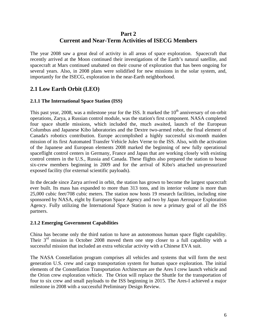# **Part 2 Current and Near-Term Activities of ISECG Members**

The year 2008 saw a great deal of activity in all areas of space exploration. Spacecraft that recently arrived at the Moon continued their investigations of the Earth's natural satellite, and spacecraft at Mars continued unabated on their course of exploration that has been ongoing for several years. Also, in 2008 plans were solidified for new missions in the solar system, and, importantly for the ISECG, exploration in the near-Earth neighborhood.

# **2.1 Low Earth Orbit (LEO)**

## **2.1.1 The International Space Station (ISS)**

This past year, 2008, was a milestone year for the ISS. It marked the  $10<sup>th</sup>$  anniversary of on-orbit operations, Zarya, a Russian control module, was the station's first component. NASA completed four space shuttle missions, which included the, much awaited, launch of the European Columbus and Japanese Kibo laboratories and the Dextre two-armed robot, the final element of Canada's robotics contribution. Europe accomplished a highly successful six-month maiden mission of its first Automated Transfer Vehicle Jules Verne to the ISS. Also, with the activation of the Japanese and European elements 2008 marked the beginning of new fully operational spaceflight control centers in Germany, France and Japan that are working closely with existing control centers in the U.S., Russia and Canada. These flights also prepared the station to house six-crew members beginning in 2009 and for the arrival of Kibo's attached un-pressurized exposed facility (for external scientific payloads).

In the decade since Zarya arrived in orbit, the station has grown to become the largest spacecraft ever built. Its mass has expanded to more than 313 tons, and its interior volume is more than 25,000 cubic feet/708 cubic meters. The station now hosts 19 research facilities, including nine sponsored by NASA, eight by European Space Agency and two by Japan Aerospace Exploration Agency. Fully utilizing the International Space Station is now a primary goal of all the ISS partners.

## **2.1.2 Emerging Government Capabilities**

China has become only the third nation to have an autonomous human space flight capability. Their  $3<sup>rd</sup>$  mission in October 2008 moved them one step closer to a full capability with a successful mission that included an extra vehicular activity with a Chinese EVA suit.

The NASA Constellation program comprises all vehicles and systems that will form the next generation U.S. crew and cargo transportation system for human space exploration. The initial elements of the Constellation Transportation Architecture are the Ares I crew launch vehicle and the Orion crew exploration vehicle. The Orion will replace the Shuttle for the transportation of four to six crew and small payloads to the ISS beginning in 2015. The Ares-I achieved a major milestone in 2008 with a successful Preliminary Design Review.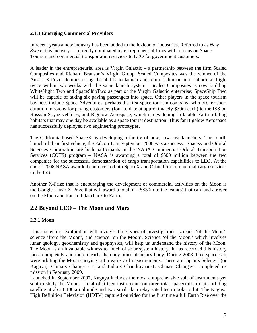## **2.1.3 Emerging Commercial Providers**

In recent years a new industry has been added to the lexicon of industries. Referred to as *New Space,* this industry is currently dominated by entrepreneurial firms with a focus on Space Tourism and commercial transportation services to LEO for government customers.

A leader in the entrepreneurial area is Virgin Galactic – a partnership between the firm Scaled Composites and Richard Branson's Virgin Group. Scaled Composites was the winner of the Ansari X-Prize, demonstrating the ability to launch and return a human into suborbital flight twice within two weeks with the same launch system. Scaled Composites is now building WhiteNight Two and SpaceShipTwo as part of the Virgin Galactic enterprise; SpaceShip Two will be capable of taking six paying passengers into space. Other players in the space tourism business include Space Adventures, perhaps the first space tourism company, who broker short duration missions for paying customers (four to date at approximately \$30m each) to the ISS on Russian Soyuz vehicles; and Bigelow Aerospace, which is developing inflatable Earth orbiting habitats that may one day be available as a space tourist destination. Thus far Bigelow Aerospace has successfully deployed two engineering prototypes.

The California-based SpaceX, is developing a family of new, low-cost launchers. The fourth launch of their first vehicle, the Falcon 1, in September 2008 was a success. SpaceX and Orbital Sciences Corporation are both participants in the NASA Commercial Orbital Transportation Services (COTS) program – NASA is awarding a total of \$500 million between the two companies for the successful demonstration of cargo transportation capabilities to LEO. At the end of 2008 NASA awarded contracts to both SpaceX and Orbital for commercial cargo services to the ISS.

Another X-Prize that is encouraging the development of commercial activities on the Moon is the Google-Lunar X-Prize that will award a total of US\$30m to the team(s) that can land a rover on the Moon and transmit data back to Earth.

# **2.2 Beyond LEO – The Moon and Mars**

# **2.2.1 Moon**

Lunar scientific exploration will involve three types of investigations: science 'of the Moon', science 'from the Moon', and science 'on the Moon'. Science 'of the Moon,' which involves lunar geology, geochemistry and geophysics, will help us understand the history of the Moon. The Moon is an invaluable witness to much of solar system history. It has recorded this history more completely and more clearly than any other planetary body. During 2008 three spacecraft were orbiting the Moon carrying out a variety of measurements. These are Japan's Selene-1 (or Kaguya), China's Chang'e - 1, and India's Chandrayaan-1. China's Chang'e-1 completed its mission in February 2009.

Launched in September 2007, Kaguya includes the most comprehensive suit of instruments yet sent to study the Moon, a total of fifteen instruments on three total spacecraft;.a main orbiting satellite at about 100km altitude and two small data relay satellites in polar orbit. The Kaguya High Definition Television (HDTV) captured on video for the first time a full Earth Rise over the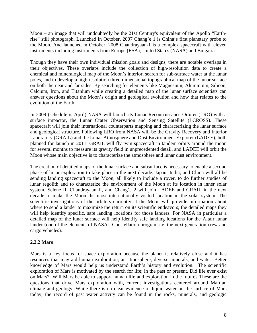Moon – an image that will undoubtedly be the 21st Century's equivalent of the Apollo "Earthrise" still photograph. Launched in October, 2007 Chang'e 1 is China's first planetary probe to the Moon. And launched in October, 2008 Chandrayaan-1 is a complex spacecraft with eleven instruments including instruments from Europe (ESA), United States (NASA) and Bulgaria.

Though they have their own individual mission goals and designs, there are notable overlaps in their objectives. These overlaps include the collection of high-resolution data to create a chemical and mineralogical map of the Moon's interior, search for sub-surface water at the lunar poles, and to develop a high resolution three-dimensional topographical map of the lunar surface on both the near and far sides. By searching for elements like Magnesium, Aluminium, Silicon, Calcium, Iron, and Titanium while creating a detailed map of the lunar surface scientists can answer questions about the Moon's origin and geological evolution and how that relates to the evolution of the Earth.

In 2009 (schedule is April) NASA will launch its Lunar Reconnaissance Orbiter (LRO) with a surface impactor, the Lunar Crater Observation and Sensing Satellite (LCROSS). These spacecraft will join their international counterparts mapping and characterizing the lunar surface and geological structure. Following LRO from NASA will be the Gravity Recovery and Interior Laboratory (GRAIL) and the Lunar Atmosphere and Dust Environment Explorer (LADEE), both planned for launch in 2011. GRAIL will fly twin spacecraft in tandem orbits around the moon for several months to measure its gravity field in unprecedented detail, and LADEE will orbit the Moon whose main objective is to characterize the atmosphere and lunar dust environment.

The creation of detailed maps of the lunar surface and subsurface is necessary to enable a second phase of lunar exploration to take place in the next decade. Japan, India, and China will all be sending landing spacecraft to the Moon, all likely to include a rover, to do further studies of lunar regolith and to characterize the environment of the Moon at its location in inner solar system. Selene II, Chandrayaan II, and Chang'e 2 will join LADEE and GRAIL in the next decade to make the Moon the most internationally visited location in the solar system. The scientific investigations of the orbiters currently at the Moon will provide information about where to send a lander to maximize the return on its scientific endeavors; the detailed maps they will help identify specific, safe landing locations for those landers. For NASA in particular a detailed map of the lunar surface will help identify safe landing locations for the Altair lunar lander (one of the elements of NASA's Constellation program i.e. the next generation crew and cargo vehicles).

## **2.2.2 Mars**

Mars is a key focus for space exploration because the planet is relatively close and it has resources that may aid human exploration, an atmosphere, diverse minerals, and water. Better knowledge of Mars would help us understand Earth's history and evolution.The scientific exploration of Mars is motivated by the search for life; in the past or present. Did life ever exist on Mars? Will Mars be able to support human life and exploration in the future? These are the questions that drive Mars exploration with, current investigations centered around Martian climate and geology. While there is no clear evidence of liquid water on the surface of Mars today, the record of past water activity can be found in the rocks, minerals, and geologic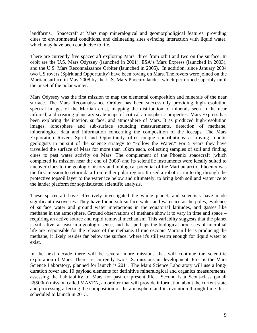landforms. Spacecraft at Mars map mineralogical and geomorpholigical features, providing clues to [environmental conditions](http://en.wikipedia.org/wiki/Environmental_science), and delineating sites evincing interaction with liquid water, which may have been conducive to [life.](http://en.wikipedia.org/wiki/Life)

There are currently five spacecraft exploring Mars, three from orbit and two on the surface. In orbit are the U.S. Mars Odyssey (launched in 2001), ESA's Mars Express (launched in 2003), and the U.S. Mars Reconnaissance Orbiter (launched in 2005). In addition, since January 2004 two US rovers (Spirit and Opportunity) have been roving on Mars. The rovers were joined on the Martian surface in May 2008 by the U.S. Mars Phoenix lander, which performed superbly until the onset of the polar winter.

Mars Odyssey was the first mission to map the elemental composition and minerals of the near surface. The Mars Reconnaissance Orbiter has been successfully providing high-resolution spectral images of the Martian crust, mapping the distribution of minerals seen in the near infrared, and creating planetary-scale maps of critical atmospheric properties. Mars Express has been exploring the interior, surface, and atmosphere of Mars. It as produced high-resolution images, ionosphere and sub-surface sounding measurements, detection of methane, mineralogical data and information concerning the composition of the icecaps. The Mars Exploration Rovers Spirit and Opportunity offer unique contributions as roving robotic geologists in pursuit of the science strategy to "Follow the Water." For 5 years they have travelled the surface of Mars for more than 10km each, collecting samples of soil and finding clues to past water activity on Mars. The complement of the Phoenix spacecraft (which completed its mission near the end of 2008) and its scientific instruments were ideally suited to uncover clues to the geologic history and biological potential of the Martian arctic. Phoenix was the first mission to return data from either polar region. It used a robotic arm to dig through the protective topsoil layer to the water ice below and ultimately, to bring both soil and water ice to the lander platform for sophisticated scientific analysis.

These spacecraft have effectively investigated the whole planet, and scientists have made significant discoveries. They have found sub-surface water and water ice at the poles, evidence of surface water and ground water interactions in the equatorial latitudes, and gasses like methane in the atmosphere. Ground observations of methane show it to vary in time and space – requiring an active source and rapid removal mechanism. This variablity suggests that the planet is still alive, at least in a geologic sense, and that perhaps the biological processes of microbial life are responsible for the release of the methane. If microscopic Martian life is producing the methane, it likely resides far below the surface, where it's still warm enough for liquid water to exist.

In the next decade there will be several more missions that will continue the scientific exploration of Mars. There are currently two U.S. missions in development. First is the Mars Science Laboratory, planned for launch is 2011. The Mars Science Laboratory will use a longduration rover and 10 payload elements for definitive mineralogical and organics measurements, assessing the habitability of Mars for past or present life. Second is a Scout-class (small <\$500m) mission called MAVEN, an orbiter that will provide information about the current state and processing affecting the composition of the atmosphere and its evolution through time. It is scheduled to launch in 2013.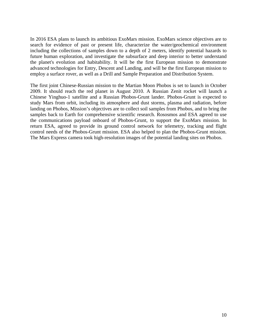In 2016 ESA plans to launch its ambitious ExoMars mission. ExoMars science objectives are to search for evidence of past or present life, characterize the water/geochemical environment including the collections of samples down to a depth of 2 meters, identify potential hazards to future human exploration, and investigate the subsurface and deep interior to better understand the planet's evolution and habitability. It will be the first European mission to demonstrate advanced technologies for Entry, Descent and Landing, and will be the first European mission to employ a surface rover, as well as a Drill and Sample Preparation and Distribution System.

The first joint Chinese-Russian mission to the Martian Moon Phobos is set to launch in October 2009. It should reach the red planet in August 2010. A Russian Zenit rocket will launch a Chinese Yinghuo-1 satellite and a Russian Phobos-Grunt lander. Phobos-Grunt is expected to study Mars from orbit, including its atmosphere and dust storms, plasma and radiation, before landing on Phobos, Mission's objectives are to collect soil samples from Phobos, and to bring the samples back to Earth for comprehensive scientific research. Rososmos and ESA agreed to use the communications payload onboard of Phobos-Grunt, to support the ExoMars mission. In return ESA, agreed to provide its ground control network for telemetry, tracking and flight control needs of the Phobos-Grunt mission. ESA also helped to plan the Phobos-Grunt mission. The Mars Express camera took high-resolution images of the potential landing sites on Phobos.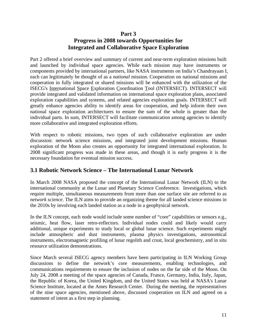# **Part 3**

# **Progress in 2008 towards Opportunities for Integrated and Collaborative Space Exploration**

Part 2 offered a brief overview and summary of current and near-term exploration missions built and launched by individual space agencies. While each mission may have instruments or components provided by international partners, like NASA instruments on India's Chandrayaan I, each can legitimately be thought of as a *national* mission. Cooperation on national missions and cooperation in fully integrated or shared missions will be enhanced with the utilization of the ISECG's International Space Exploration Coordination Tool (INTERSECT). INTERSECT will provide integrated and validated information on international space exploration plans, associated exploration capabilities and systems, and related agencies exploration goals. INTERSECT will greatly enhance agencies ability to identify areas for cooperation, and help inform their own national space exploration architectures to ensure the sum of the whole is greater than the individual parts. In sum, INTERSECT will facilitate communication among agencies to identify more collaborative and integrated exploration efforts.

With respect to robotic missions, two types of such collaborative exploration are under discussion: network science missions, and integrated joint development missions. Human exploration of the Moon also creates an opportunity for integrated international exploration. In 2008 significant progress was made in these areas, and though it is early progress it is the necessary foundation for eventual mission success.

# **3.1 Robotic Network Science – The International Lunar Network**

In March 2008 NASA proposed the concept of the International Lunar Network (ILN) to the international community at the Lunar and Planetary Science Conference. Investigations, which require multiple, simultaneous measurements from more than one surface site are referred to as *network science*. The ILN aims to provide an organizing theme for all landed science missions in the 2010s by involving each landed station as a node in a geophysical network.

In the ILN concept, each node would include some number of "core" capabilities or sensors e.g., seismic, heat flow, laser retro-reflectors. Individual nodes could and likely would carry additional, unique experiments to study local or global lunar science. Such experiments might include atmospheric and dust instruments, plasma physics investigations, astronomical instruments, electromagnetic profiling of lunar regolith and crust, local geochemistry, and in situ resource utilization demonstrations.

Since March several ISECG agency members have been participating in ILN Working Group discussions to define the network's core measurements, enabling technologies, and communications requirements to ensure the inclusion of nodes on the far side of the Moon. On July 24, 2008 a meeting of the space agencies of Canada, France, Germany, India, Italy, Japan, the Republic of Korea, the United Kingdom, and the United States was held at NASA's Lunar Science Institute, located at the Ames Research Center. During the meeting, the representatives of the nine space agencies, mentioned above, discussed cooperation on ILN and agreed on a statement of intent as a first step in planning.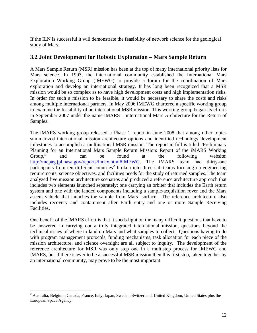If the ILN is successful it will demonstrate the feasibility of network science for the geological study of Mars.

# **3.2 Joint Development for Robotic Exploration – Mars Sample Return**

A Mars Sample Return (MSR) mission has been at the top of many international priority lists for Mars science. In 1993, the international community established the International Mars Exploration Working Group (IMEWG) to provide a forum for the coordination of Mars exploration and develop an international strategy. It has long been recognized that a MSR mission would be so complex as to have high development costs and high implementation risks. In order for such a mission to be feasible, it would be necessary to share the costs and risks among multiple international partners. In May 2006 IMEWG chartered a specific working group to examine the feasibility of an international MSR mission. This working group began its efforts in September 2007 under the name iMARS – international Mars Architecture for the Return of Samples.

The iMARS working group released a Phase 1 report in June 2008 that among other topics summarized international mission architecture options and identified technology development milestones to accomplish a multinational MSR mission. The report in full is titled "Preliminary Planning for an International Mars Sample Return Mission: Report of the iMARS Working Group," and can be found at the following website: <http://mepag.jpl.nasa.gov/reports/index.html#IMEWG>. The iMARS team had thirty-one participants from ten different countries<sup>[2](#page-11-0)</sup> broken into three sub-teams focusing on engineering requirements, science objectives, and facilities needs for the study of returned samples. The team analyzed five mission architecture scenarios and produced a reference architecture approach that includes two elements launched separately: one carrying an orbiter that includes the Earth return system and one with the landed components including a sample-acquisition rover and the Mars ascent vehicle that launches the sample from Mars' surface. The reference architecture also includes recovery and containment after Earth entry and one or more Sample Receiving Facilities.

One benefit of the iMARS effort is that it sheds light on the many difficult questions that have to be answered in carrying out a truly integrated international mission, questions beyond the technical issues of where to land on Mars and what samples to collect. Questions having to do with program management protocols, funding mechanisms, task allocation for each piece of the mission architecture, and science oversight are all subject to inquiry. The development of the reference architecture for MSR was only step one in a multistep process for IMEWG and iMARS, but if there is ever to be a successful MSR mission then this first step, taken together by an international community, may prove to be the most important.

<span id="page-11-0"></span><sup>&</sup>lt;sup>2</sup> Australia, Belgium, Canada, France, Italy, Japan, Sweden, Switzerland, United Kingdom, United States plus the European Space Agency.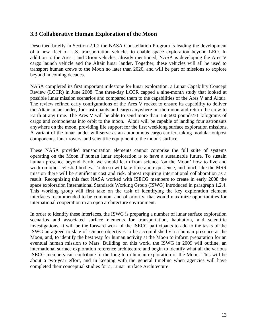# **3.3 Collaborative Human Exploration of the Moon**

Described briefly in Section 2.1.2 the NASA Constellation Program is leading the development of a new fleet of U.S. transportation vehicles to enable space exploration beyond LEO. In addition to the Ares I and Orion vehicles, already mentioned, NASA is developing the Ares V cargo launch vehicle and the Altair lunar lander. Together, these vehicles will all be used to transport human crews to the Moon no later than 2020, and will be part of missions to explore beyond in coming decades.

NASA completed its first important milestone for lunar exploration, a Lunar Capability Concept Review (LCCR) in June 2008. The three-day LCCR capped a nine-month study that looked at possible lunar mission scenarios and compared them to the capabilities of the Ares V and Altair. The review refined early configurations of the Ares V rocket to ensure its capability to deliver the Altair lunar lander, four astronauts and cargo anywhere on the moon and return the crew to Earth at any time. The Ares V will be able to send more than 156,600 pounds/71 kilograms of cargo and components into orbit to the moon. Altair will be capable of landing four astronauts anywhere on the moon, providing life support for the first weeklong surface exploration missions. A variant of the lunar lander will serve as an autonomous cargo carrier, taking modular outpost components, lunar rovers, and scientific equipment to the moon's surface.

These NASA provided transportation elements cannot comprise the full suite of systems operating on the Moon if human lunar exploration is to have a sustainable future. To sustain human presence beyond Earth, we should learn from science 'on the Moon' how to live and work on other celestial bodies. To do so will take time and experience, and much like the MSR mission there will be significant cost and risk, almost requiring international collaboration as a result. Recognizing this fact NASA worked with ISECG members to create in early 2008 the space exploration International Standards Working Group (ISWG) introduced in paragraph 1.2.4. This working group will first take on the task of identifying the key exploration element interfaces recommended to be common, and of priority, that would maximize opportunities for international cooperation in an open architecture environment.

In order to identify these interfaces, the ISWG is preparing a number of lunar surface exploration scenarios and associated surface elements for transportation, habitation, and scientific investigations. It will be the forward work of the ISECG participants to add to the tasks of the ISWG an agreed to slate of science objectives to be accomplished via a human presence at the Moon, and, to identify the best way for human activity at the Moon to inform preparation for an eventual human mission to Mars. Building on this work, the ISWG in 2009 will outline, an international surface exploration reference architecture and begin to identify what all the various ISECG members can contribute to the long-term human exploration of the Moon. This will be about a two-year effort, and in keeping with the general timeline when agencies will have completed their conceptual studies for a, Lunar Surface Architecture.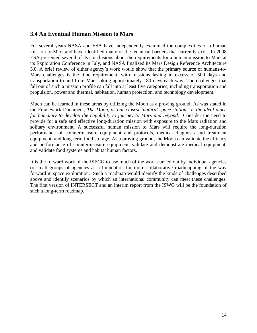# **3.4 An Eventual Human Mission to Mars**

For several years NASA and ESA have independently examined the complexities of a human mission to Mars and have identified many of the technical barriers that currently exist. In 2008 ESA presented several of its conclusions about the requirements for a human mission to Mars at its Exploration Conference in July, and NASA finalized its Mars Design Reference Architecture 5.0. A brief review of either agency's work would show that the primary source of humans-to-Mars challenges is the time requirement, with missions lasting in excess of 500 days and transportation to and from Mars taking approximately 180 days each way. The challenges that fall out of such a mission profile can fall into at least five categories, including transportation and propulsion, power and thermal, habitation, human protection, and technology development.

Much can be learned in these areas by utilizing the Moon as a proving ground. As was stated in the Framework Document, *The Moon, as our closest 'natural space station,' is the ideal place for humanity to develop the capability to journey to Mars and beyond.* Consider the need to provide for a safe and effective long-duration mission with exposure to the Mars radiation and solitary environment. A successful human mission to Mars will require the long-duration performance of countermeasure equipment and protocols, medical diagnosis and treatment equipment, and long-term food storage. As a proving ground, the Moon can validate the efficacy and performance of countermeasure equipment, validate and demonstrate medical equipment, and validate food systems and habitat human factors.

It is the forward work of the ISECG to use much of the work carried out by individual agencies or small groups of agencies as a foundation for more collaborative roadmapping of the way forward in space exploration. Such a roadmap would identify the kinds of challenges described above and identify scenarios by which an international community can meet these challenges. The first version of INTERSECT and an interim report from the ISWG will be the foundation of such a long-term roadmap.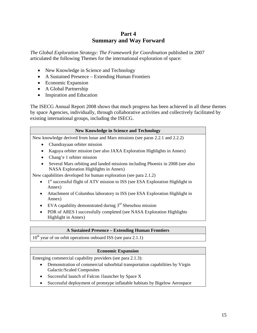# **Part 4 Summary and Way Forward**

*The Global Exploration Strategy: The Framework for Coordination* published in 2007 articulated the following Themes for the international exploration of space:

- New Knowledge in Science and Technology
- A Sustained Presence Extending Human Frontiers
- Economic Expansion
- A Global Partnership
- Inspiration and Education

The ISECG Annual Report 2008 shows that much progress has been achieved in all these themes by space Agencies, individually, through collaborative activities and collectively facilitated by existing international groups, including the ISECG.

#### **New Knowledge in Science and Technology**

New knowledge derived from lunar and Mars missions (see paras 2.2.1 and 2.2.2)

- Chandrayaan orbiter mission
- Kaguya orbiter mission (see also JAXA Exploration Highlights in Annex)
- Chang'e 1 orbiter mission
- Several Mars orbiting and landed missions including Phoenix in 2008 (see also NASA Exploration Highlights in Annex)

New capabilities developed for human exploration (see para 2.1.2)

- 1<sup>st</sup> successful flight of ATV mission to ISS (see ESA Exploration Highlight in Annex)
- Attachment of Columbus laboratory to ISS (see ESA Exploration Highlight in Annex)
- EVA capability demonstrated during  $3<sup>rd</sup>$  Shenzhou mission
- PDR of ARES I successfully completed (see NASA Exploration Highlights Highlight in Annex)

## **A Sustained Presence – Extending Human Frontiers**

 $10<sup>th</sup>$  year of on orbit operations onboard ISS (see para 2.1.1)

## **Economic Expansion**

Emerging commercial capability providers (see para 2.1.3):

- Demonstration of commercial suborbital transportation capabilities by Virgin Galactic/Scaled Composites
- Successful launch of Falcon 1launcher by Space X
- Successful deployment of prototype inflatable habitats by Bigelow Aerospace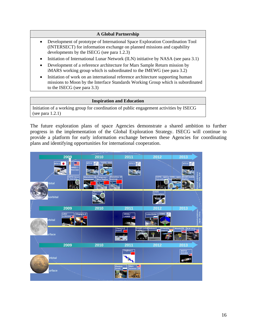#### **A Global Partnership**

- Development of prototype of International Space Exploration Coordination Tool (INTERSECT) for information exchange on planned missions and capability developments by the ISECG (see para 1.2.3)
- Initiation of International Lunar Network (ILN) initiative by NASA (see para 3.1)
- Development of a reference architecture for Mars Sample Return mission by iMARS working group which is subordinated to the IMEWG (see para 3.2)
- Initiation of work on an international reference architecture supporting human missions to Moon by the Interface Standards Working Group which is subordinated to the ISECG (see para 3.3)

#### **Inspiration and Education**

Initiation of a working group for coordination of public engagement activities by ISECG (see para 1.2.1)

The future exploration plans of space Agencies demonstrate a shared ambition to further progress in the implementation of the Global Exploration Strategy. ISECG will continue to provide a platform for early information exchange between these Agencies for coordinating plans and identifying opportunities for international cooperation.

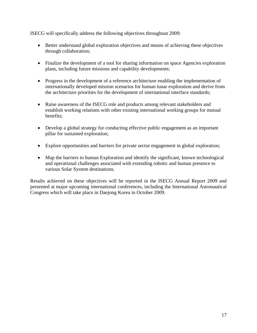ISECG will specifically address the following objectives throughout 2009:

- Better understand global exploration objectives and means of achieving these objectives through collaboration;
- Finalize the development of a tool for sharing information on space Agencies exploration plans, including future missions and capability developments;
- Progress in the development of a reference architecture enabling the implementation of internationally developed mission scenarios for human lunar exploration and derive from the architecture priorities for the development of international interface standards;
- Raise awareness of the ISECG role and products among relevant stakeholders and establish working relations with other existing international working groups for mutual benefits;
- Develop a global strategy for conducting effective public engagement as an important pillar for sustained exploration;
- Explore opportunities and barriers for private sector engagement in global exploration;
- Map the barriers to human Exploration and identify the significant, known technological and operational challenges associated with extending robotic and human presence to various Solar System destinations.

Results achieved on these objectives will be reported in the ISECG Annual Report 2009 and presented at major upcoming international conferences, including the International Astronautical Congress which will take place in Daejong Korea in October 2009.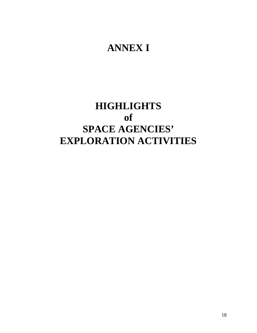# **ANNEX I**

# **HIGHLIGHTS of SPACE AGENCIES' EXPLORATION ACTIVITIES**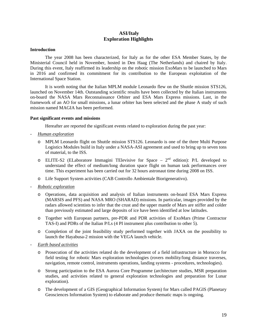#### **ASI/Italy Exploration Highlights**

#### **Introduction**

The year 2008 has been characterized, for Italy as for the other ESA Member States, by the Ministerial Council held in November, hosted in Den Haag (The Netherlands) and chaired by Italy. During this event, Italy reaffirmed its leadership on the robotic mission ExoMars to be launched to Mars in 2016 and confirmed its commitment for its contribution to the European exploitation of the International Space Station.

It is worth noting that the Italian MPLM module Leonardo flew on the Shuttle mission STS126, launched on November 14th. Outstanding scientific results have been collected by the Italian instruments on-board the NASA Mars Reconnaissance Orbiter and ESA Mars Express missions. Last, in the framework of an AO for small missions, a lunar orbiter has been selected and the phase A study of such mission named MAGIA has been performed.

#### **Past significant events and missions**

Hereafter are reported the significant events related to exploration during the past year:

- *Human exploration*
	- o MPLM Leonardo flight on Shuttle mission STS126. Leonardo is one of the three Multi Purpose Logistics Modules build in Italy under a NASA-ASI agreement and used to bring up to seven tons of material, to the ISS.
	- o ELITE-S2 (ELaboratore Immagini TElevisive for Space  $2<sup>nd</sup>$  edition): P/L developed to understand the effect of medium/long duration space flight on human task performances over time. This experiment has been carried out for 32 hours astronaut time during 2008 on ISS.
	- o Life Support System activities (CAB Controllo Ambientale Biorigenerativo).
- *Robotic exploration*
	- o Operations, data acquisition and analysis of Italian instruments on-board ESA Mars Express (MARSIS and PFS) and NASA MRO (SHARAD) missions. In particular, images provided by the radars allowed scientists to infer that the crust and the upper mantle of Mars are stiffer and colder than previously estimated and large deposits of ice have been identified at low latitudes.
	- o Together with European partners, pre-PDR and PDR activities of ExoMars (Prime Contractor TAS-I) and PDRs of the Italian P/Ls (4 PI instrument plus contribution to other 5).
	- o Completion of the joint feasibility study performed together with JAXA on the possibility to launch the Hayabusa-2 mission with the VEGA launch vehicle.
- *Earth based activities*
	- o Prosecution of the activities related do the development of a field infrastructure in Morocco for field testing for robotic Mars exploration technologies (rovers mobility/long distance traverses, navigation, remote control, instruments operations, landing systems - procedures, technologies).
	- o Strong participation to the ESA Aurora Core Programme (architecture studies, MSR preparation studies, and activities related to general exploration technologies and preparation for Lunar exploration).
	- o The development of a GIS (Geographical Information System) for Mars called PAGIS (Planetary Geosciences Information System) to elaborate and produce thematic maps is ongoing.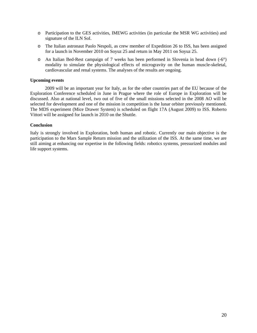- o Participation to the GES activities, IMEWG activities (in particular the MSR WG activities) and signature of the ILN SoI.
- o The Italian astronaut Paolo Nespoli, as crew member of Expedition 26 to ISS, has been assigned for a launch in November 2010 on Soyuz 25 and return in May 2011 on Soyuz 25.
- o An Italian Bed-Rest campaign of 7 weeks has been performed in Slovenia in head down (-6°) modality to simulate the physiological effects of microgravity on the human muscle-skeletal, cardiovascular and renal systems. The analyses of the results are ongoing.

#### **Upcoming events**

2009 will be an important year for Italy, as for the other countries part of the EU because of the Exploration Conference scheduled in June in Prague where the role of Europe in Exploration will be discussed. Also at national level, two out of five of the small missions selected in the 2008 AO will be selected for development and one of the mission in competition is the lunar orbiter previously mentioned. The MDS experiment (Mice Drawer System) is scheduled on flight 17A (August 2009) to ISS. Roberto Vittori will be assigned for launch in 2010 on the Shuttle.

#### **Conclusion**

Italy is strongly involved in Exploration, both human and robotic. Currently our main objective is the participation to the Mars Sample Return mission and the utilization of the ISS. At the same time, we are still aiming at enhancing our expertise in the following fields: robotics systems, pressurized modules and life support systems.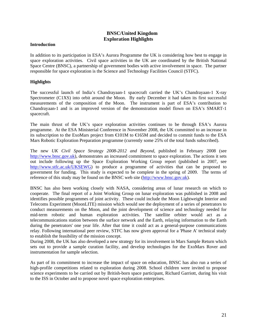## **BNSC/United Kingdom Exploration Highlights**

#### **Introduction**

In addition to its participation in ESA's Aurora Programme the UK is considering how best to engage in space exploration activities. Civil space activities in the UK are coordinated by the British National Space Centre (BNSC), a partnership of government bodies with active involvement in space. The partner responsible for space exploration is the Science and Technology Facilities Council (STFC).

#### **Highlights**

The successful launch of India's Chandrayaan-1 spacecraft carried the UK's Chandrayaan-1 X-ray Spectrometer (C1XS) into orbit around the Moon. By early December it had taken its first successful measurements of the composition of the Moon. The instrument is part of ESA's contribution to Chandrayaan-1 and is an improved version of the demonstration model flown on ESA's SMART-1 spacecraft.

The main thrust of the UK's space exploration activities continues to be through ESA's Aurora programme. At the ESA Ministerial Conference in November 2008, the UK committed to an increase in its subscription to the ExoMars project from  $\bigoplus$  01M to  $\bigoplus$  65M and decided to commit funds to the ESA Mars Robotic Exploration Preparation programme (currently some 25% of the total funds subscribed).

The new *UK Civil Space Strategy 2008-2012 and Beyond*, published in February 2008 (see [http://www.bnsc.gov.uk](http://www.bnsc.gov.uk/)), demonstrates an increased commitment to space exploration. The actions it sets out include following up the Space Exploration Working Group report (published in 2007, see <http://www.stfc.ac.uk/UKSEWG>) to produce a programme of activities that can be proposed to government for funding. This study is expected to be complete in the spring of 2009. The terms of reference of this study may be found on the BNSC web site [\(http://www.bnsc.gov.uk](http://www.bnsc.gov.uk/)).

BNSC has also been working closely with NASA, considering areas of lunar research on which to cooperate. The final report of a Joint Working Group on lunar exploration was published in 2008 and identifies possible programmes of joint activity. These could include the Moon Lightweight Interior and Telecoms Experiment (MoonLITE) mission which would see the deployment of a series of penetrators to conduct measurements on the Moon, and the joint development of science and technology needed for mid-term robotic and human exploration activities. The satellite orbiter would act as a telecommunications station between the surface network and the Earth, relaying information to the Earth during the penetrators' one year life. After that time it could act as a general-purpose communications relay. Following international peer review, STFC has now given approval for a 'Phase A' technical study to establish the feasibility of the mission concept.

During 2008, the UK has also developed a new strategy for its involvement in Mars Sample Return which sets out to provide a sample curation facility, and develop technologies for the ExoMars Rover and instrumentation for sample selection.

As part of its commitment to increase the impact of space on education, BNSC has also run a series of high-profile competitions related to exploration during 2008. School children were invited to propose science experiments to be carried out by British-born space participant, Richard Garriott, during his visit to the ISS in October and to propose novel space exploration enterprises.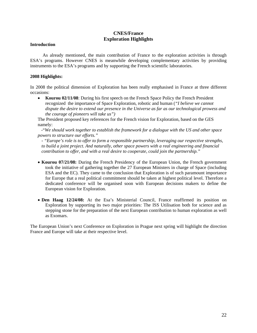## **CNES/France Exploration Highlights**

#### **Introduction**

 As already mentioned, the main contribution of France to the exploration activities is through ESA's programs. However CNES is meanwhile developing complementary activities by providing instruments to the ESA's programs and by supporting the French scientific laboratories.

#### **2008 Highlights:**

In 2008 the political dimension of Exploration has been really emphasised in France at three different occasions:

• **Kourou 02/11/08**: During his first speech on the French Space Policy the French President recognized the importance of Space Exploration, robotic and human (*"I believe we cannot dispute the desire to extend our presence in the Universe as far as our technological prowess and the courage of pioneers will take us")* 

The President proposed key references for the French vision for Exploration, based on the GES namely:

 -"*We should work together to establish the framework for a dialogue with the US and other space powers to structure our efforts."* 

- *"Europe's role is to offer to form a responsible partnership, leveraging our respective strengths, to build a joint project. And naturally, other space powers with a real engineering and financial contribution to offer, and with a real desire to cooperate, could join the partnership."* 

- **Kourou 07/21/08:** During the French Presidency of the European Union, the French government took the initiative of gathering together the 27 European Ministers in charge of Space (including ESA and the EC). They came to the conclusion that Exploration is of such paramount importance for Europe that a real political commitment should be taken at highest political level. Therefore a dedicated conference will be organised soon with European decisions makers to define the European vision for Exploration.
- **Den Haag 12/24/08:** At the Esa's Ministerial Council, France reaffirmed its position on Exploration by supporting its two major priorities: The ISS Utilisation both for science and as stepping stone for the preparation of the next European contribution to human exploration as well as Exomars.

The European Union's next Conference on Exploration in Prague next spring will highlight the direction France and Europe will take at their respective level.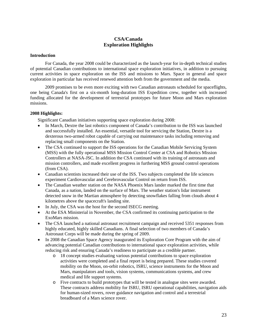## **CSA/Canada Exploration Highlights**

#### **Introduction**

For Canada, the year 2008 could be characterized as the launch-year for in-depth technical studies of potential Canadian contributions to international space exploration initiatives, in addition to pursuing current activities in space exploration on the ISS and missions to Mars. Space in general and space exploration in particular has received renewed attention both from the government and the media.

2009 promises to be even more exciting with two Canadian astronauts scheduled for spaceflights, one being Canada's first on a six-month long-duration ISS Expedition crew, together with increased funding allocated for the development of terrestrial prototypes for future Moon and Mars exploration missions.

#### **2008 Highlights:**

Significant Canadian initiatives supporting space exploration during 2008:

- In March, Dextre the last robotics component of Canada's contribution to the ISS was launched and successfully installed. An essential, versatile tool for servicing the Station, Dextre is a dexterous two-armed robot capable of carrying out maintenance tasks including removing and replacing small components on the Station.
- The CSA continued to support the ISS operations for the Canadian Mobile Servicing System (MSS) with the fully operational MSS Mission Control Center at CSA and Robotics Mission Controllers at NASA-JSC. In addition the CSA continued with its training of astronauts and mission controllers, and made excellent progress in furthering MSS ground control operations (from CSA).
- Canadian scientists increased their use of the ISS. Two subjects completed the life sciences experiment Cardiovascular and Cerebrovascular Control on return from ISS.
- The Canadian weather station on the NASA Phoenix Mars lander marked the first time that Canada, as a nation, landed on the surface of Mars. The weather station's lidar instrument detected snow in the Martian atmosphere by detecting snowflakes falling from clouds about 4 kilometres above the spacecraft's landing site.
- In July, the CSA was the host for the second ISECG meeting.
- At the ESA Ministerial in November, the CSA confirmed its continuing participation to the ExoMars mission.
- The CSA launched a national astronaut recruitment campaign and received 5351 responses from highly educated, highly skilled Canadians. A final selection of two members of Canada's Astronaut Corps will be made during the spring of 2009.
- In 2008 the Canadian Space Agency inaugurated its Exploration Core Program with the aim of advancing potential Canadian contributions to international space exploration activities, while reducing risk and ensuring Canada's readiness to participate as a credible partner.
	- o 18 concept studies evaluating various potential contributions to space exploration activities were completed and a final report is being prepared. These studies covered mobility on the Moon, on-orbit robotics, ISRU, science instruments for the Moon and Mars, manipulators and tools, vision systems, communications systems, and crew medical and life support systems.
	- o Five contracts to build prototypes that will be tested in analogue sites were awarded. These contracts address mobility for ISRU, ISRU operational capabilities, navigation aids for human-sized rovers, rover guidance navigation and control and a terrestrial breadboard of a Mars science rover.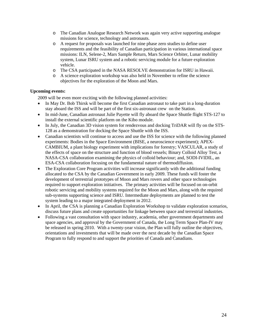- o The Canadian Analogue Research Network was again very active supporting analogue missions for science, technology and astronauts.
- o A request for proposals was launched for nine phase zero studies to define user requirements and the feasibility of Canadian participation in various international space missions: ILN, Selene-2, Mars Sample Return, Mars Science Orbiter, Lunar mobility system, Lunar ISRU system and a robotic servicing module for a future exploration vehicle.
- o The CSA participated in the NASA RESOLVE demonstration for ISRU in Hawaii.
- o A science exploration workshop was also held in November to refine the science objectives for the exploration of the Moon and Mars.

#### **Upcoming events:**

2009 will be even more exciting with the following planned activities:

- In May Dr. Bob Thirsk will become the first Canadian astronaut to take part in a long-duration stay aboard the ISS and will be part of the first six-astronaut crew on the Station.
- In mid-June, Canadian astronaut Julie Payette will fly aboard the Space Shuttle flight STS-127 to install the external scientific platform on the Kibo module.
- In July, the Canadian 3D vision system for rendezvous and docking TriDAR will fly on the STS-128 as a demonstration for docking the Space Shuttle with the ISS.
- Canadian scientists will continue to access and use the ISS for science with the following planned experiments: Bodies in the Space Environment (BISE, a neuroscience experiment); APEX-CAMBIUM, a plant biology experiment with implications for forestry; VASCULAR, a study of the effects of space on the structure and function of blood vessels; Binary Colloid Alloy Test, a NASA-CSA collaboration examining the physics of colloid behaviour; and, SODI-IVIDIL, an ESA-CSA collaboration focusing on the fundamental nature of thermodiffusion.
- The Exploration Core Program activities will increase significantly with the additional funding allocated to the CSA by the Canadian Government in early 2009. These funds will foster the development of terrestrial prototypes of Moon and Mars rovers and other space technologies required to support exploration initiatives. The primary activities will be focused on on-orbit robotic servicing and mobility systems required for the Moon and Mars, along with the required sub-systems supporting science and ISRU. Intermediate deployments are planned to test the system leading to a major integrated deployment in 2012.
- In April, the CSA is planning a Canadian Exploration Workshop to validate exploration scenarios, discuss future plans and create opportunities for linkage between space and terrestrial industries.
- Following a vast consultation with space industry, academia, other government departments and space agencies, and approval by the Government of Canada, the Long Term Space Plan-IV may be released in spring 2010. With a twenty-year vision, the Plan will fully outline the objectives, orientations and investments that will be made over the next decade by the Canadian Space Program to fully respond to and support the priorities of Canada and Canadians.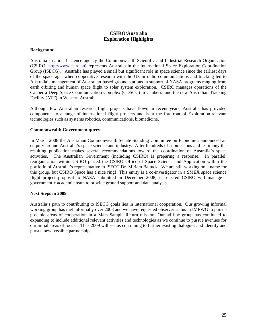## **CSIRO/Australia Exploration Highlights**

#### **Background**

Australia's national science agency the Commonwealth Scientific and Industrial Research Organisation (CSIRO; [http://www.csiro.au\)](http://www.csiro.au/) represents Australia in the International Space Exploration Coordination Group (ISECG). Australia has played a small but significant role in space science since the earliest days of the space age, when cooperative research with the US in radio communications and tracking led to Australia's management of Australian-based ground stations in support of NASA programs ranging from earth orbiting and human space flight to solar system exploration. CSIRO manages operations of the Canberra Deep Space Communication Complex (CDSCC) in Canberra and the new Australian Tracking Facility (ATF) in Western Australia.

Although few Australian research flight projects have flown in recent years, Australia has provided components to a range of international flight projects and is at the forefront of Exploration-relevant technologies such as systems robotics, communications, biomedicine.

#### **Commonwealth Government query**

In March 2008 the Australian Commonwealth Senate Standing Committee on Economics announced an enquiry around Australia's space science and industry. After hundreds of submissions and testimony the resulting publication makes several recommendations toward the coordination of Australia's space activities. The Australian Government (including CSIRO) is preparing a response. In parallel, reorganisation within CSIRO placed the CSIRO Office of Space Science and Application within the portfolio of Australia's representative to ISECG Dr. Miriam Baltuck. We are still working on a name for this group, but CSIRO Space has a nice ring! This entity is a co-investigator in a SMEX space science flight project proposal to NASA submitted in December 2008; if selected CSIRO will manage a government + academic team to provide ground support and data analysis.

#### **Next Steps in 2009**

Australia's path to contributing to ISECG goals lies in international cooperation. Our growing informal working group has met informally over 2008 and we have requested observer status in IMEWG to pursue possible areas of cooperation in a Mars Sample Return mission. Our ad hoc group has continued to expanding to include additional relevant activities and technologies as we continue to pursue avenues for our initial areas of focus. Thus 2009 will see us continuing to further existing dialogues and identify and pursue new possible partnerships.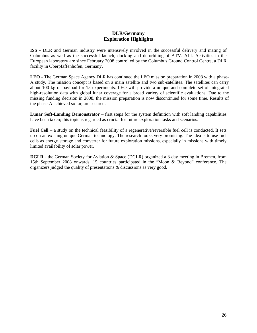## **DLR/Germany Exploration Highlights**

**ISS -** DLR and German industry were intensively involved in the successful delivery and mating of Columbus as well as the successful launch, docking and de-orbiting of ATV. ALL Activities in the European laboratory are since February 2008 controlled by the Columbus Ground Control Centre, a DLR facility in Oberpfaffenhofen, Germany.

**LEO -** The German Space Agency DLR has continued the LEO mission preparation in 2008 with a phase-A study. The mission concept is based on a main satellite and two sub-satellites. The satellites can carry about 100 kg of payload for 15 experiments. LEO will provide a unique and complete set of integrated high-resolution data with global lunar coverage for a broad variety of scientific evaluations. Due to the missing funding decision in 2008, the mission preparation is now discontinued for some time. Results of the phase-A achieved so far, are secured.

**Lunar Soft-Landing Demonstrator** – first steps for the system definition with soft landing capabilities have been taken; this topic is regarded as crucial for future exploration tasks and scenarios.

**Fuel Cell** – a study on the technical feasibility of a regenerative/reversible fuel cell is conducted. It sets up on an existing unique German technology. The research looks very promising. The idea is to use fuel cells as energy storage and converter for future exploration missions, especially in missions with timely limited availability of solar power.

**DGLR** - the German Society for Aviation & Space (DGLR) organized a 3-day meeting in Bremen, from 15th September 2008 onwards. 15 countries participated in the "Moon & Beyond" conference. The organizers judged the quality of presentations & discussions as very good.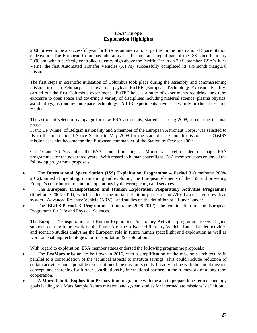## **ESA/Europe Exploration Highlights**

2008 proved to be a successful year for ESA as an international partner in the International Space Station endeavour. The European Columbus laboratory has become an integral part of the ISS since February 2008 and with a perfectly controlled re-entry high above the Pacific Ocean on 29 September, ESA's Jules Verne, the first Automated Transfer Vehicles (ATVs), successfully completed its six-month inaugural mission.

The first steps in scientific utilisation of Columbus took place during the assembly and commissioning mission itself in February. The external payload EuTEF (European Technology Exposure Facility) carried out the first Columbus experiment. EuTEF houses a suite of experiments requiring long-term exposure to open space and covering a variety of disciplines including material science, plasma physics, astrobiology, astronomy and space technology. All 13 experiments have successfully produced research results.

The astronaut selection campaign for new ESA astronauts, started in spring 2008, is entering its final phase.

Frank De Winne, of Belgian nationality and a member of the European Astronaut Corps, was selected to fly to the International Space Station in May 2009 for the start of a six-month mission. The OasISS mission sees him become the first European commander of the Station by October 2009.

On 25 and 26 November the ESA Council meeting at Ministerial level decided on major ESA programmes for the next three years. With regard to human spaceflight, ESA member states endorsed the following programme proposals:

- The **International Space Station (ISS) Exploitation Programme Period 3** (timeframe 2008- 2012), aimed at operating, maintaining and exploiting the European elements of the ISS and providing Europe's contribution to common operations by delivering cargo and services.
- The **European Transportation and Human Exploration Preparatory Activities Programme**  (timeframe 2008-2011), which includes the initial definition phases of an ATV-based cargo download system - Advanced Re-entry Vehicle (ARV) - and studies on the definition of a Lunar Lander.
- The **ELIPS-Period 3 Programme** (timeframe 2008-2012), the continuation of the European Programme for Life and Physical Sciences.

The European Transportation and Human Exploration Preparatory Activities programme received good support securing future work on the Phase A of the Advanced Re-entry Vehicle, Lunar Lander activities and scenario studies analysing the European role in future human spaceflight and exploration as well as work on enabling technologies for transportation & exploration.

With regard to exploration, ESA member states endorsed the following programme proposals:

- The **ExoMars mission**, to be flown in 2016, with a simplification of the mission's architecture in parallel to a consolidation of the technical aspects to institute savings. This could include reduction of certain activities and a possible re-definition of the mission's goals, broadly in line with the initial mission concept, and searching for further contributions by international partners in the framework of a long-term cooperation.
- A **Mars Robotic Exploration Preparation** programme with the aim to prepare long-term technology goals leading to a Mars Sample Return mission, and system studies for intermediate missions' definition.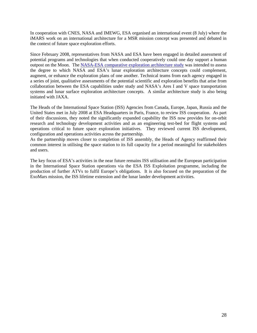In cooperation with CNES, NASA and IMEWG, ESA organised an international event (8 July) where the iMARS work on an international architecture for a MSR mission concept was presented and debated in the context of future space exploration efforts.

Since February 2008, representatives from NASA and ESA have been engaged in detailed assessment of potential programs and technologies that when conducted cooperatively could one day support a human outpost on the Moon. The [NASA-ESA comparative exploration architecture study](http://esamultimedia.esa.int/docs/exploration/IntlExplorationArchitectures/IntegratedArchReview/NASA_ESA_CAA-Report.pdf) was intended to assess the degree to which NASA and ESA's lunar exploration architecture concepts could complement, augment, or enhance the exploration plans of one another. Technical teams from each agency engaged in a series of joint, qualitative assessments of the potential scientific and exploration benefits that arise from collaboration between the ESA capabilities under study and NASA's Ares I and V space transportation systems and lunar surface exploration architecture concepts. A similar architecture study is also being initiated with JAXA.

The Heads of the International Space Station (ISS) Agencies from Canada, Europe, Japan, Russia and the United States met in July 2008 at ESA Headquarters in Paris, France, to review ISS cooperation. As part of their discussions, they noted the significantly expanded capability the ISS now provides for on-orbit research and technology development activities and as an engineering test-bed for flight systems and operations critical to future space exploration initiatives. They reviewed current ISS development, configuration and operations activities across the partnership.

As the partnership moves closer to completion of ISS assembly, the Heads of Agency reaffirmed their common interest in utilising the space station to its full capacity for a period meaningful for stakeholders and users.

The key focus of ESA's activities in the near future remains ISS utilisation and the European participation in the International Space Station operations via the ESA ISS Exploitation programme, including the production of further ATVs to fulfil Europe's obligations. It is also focused on the preparation of the ExoMars mission, the ISS lifetime extension and the lunar lander development activities.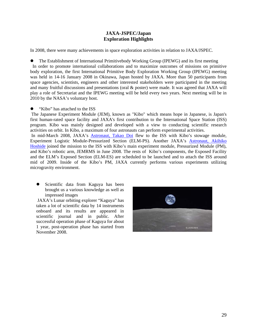#### **JAXA-JSPEC/Japan Exploration Highlights**

In 2008, there were many achievements in space exploration activities in relation to JAXA/JSPEC.

The Establishment of International Primitivebody Working Group (IPEWG) and its first meeting In order to promote international collaborations and to maximize outcomes of missions on primitive body exploration, the first International Primitive Body Exploration Working Group (IPEWG) meeting was held in 14-16 January 2008 in Okinawa, Japan hosted by JAXA. More than 50 participants from space agencies, scientists, engineers and other interested stakeholders were participated in the meeting and many fruitful discussions and presentations (oral & poster) were made. It was agreed that JAXA will play a role of Secretariat and the IPEWG meeting will be held every two years. Next meeting will be in 2010 by the NASA's voluntary host.

"Kibo" has attached to the ISS

 The Japanese Experiment Module (JEM), known as "Kibo" which means hope in Japanese, is Japan's first human-rated space facility and JAXA's first contribution to the International Space Station (ISS) program. Kibo was mainly designed and developed with a view to conducting scientific research activities on orbit. In Kibo, a maximum of four astronauts can perform experimental activities.

In mid-March 2008, JAXA's **Astronaut**, Takao Doi flew to the ISS with Kibo's stowage module, Experiment Logistic Module-Pressurized Section (ELM-PS). Another JAXA's [Astronaut, Akihiko](http://iss.jaxa.jp/astro/profile_e.html#hoshide)  [Hoshide](http://iss.jaxa.jp/astro/profile_e.html#hoshide) joined the mission to the ISS with Kibo's main experiment module, Pressurized Module (PM), and Kibo's robotic arm, JEMRMS in June 2008. The rests of Kibo's components, the Exposed Facility and the ELM's Exposed Section (ELM-ES) are scheduled to be launched and to attach the ISS around mid of 2009. Inside of the Kibo's PM, JAXA currently performs various experiments utilizing microgravity environment.

• Scientific data from Kaguya has been brought us a various knowledge as well as impressed images

 JAXA's Lunar orbiting explorer "Kaguya" has taken a lot of scientific data by 14 instruments onboard and its results are appeared in scientific journal and in public. After successful operation phase of Kaguya for about 1 year, post-operation phase has started from November 2008.

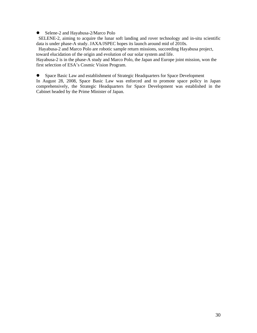• Selene-2 and Hayabusa-2/Marco Polo

SELENE-2, aiming to acquire the lunar soft landing and rover technology and in-situ scientific data is under phase-A study. JAXA/JSPEC hopes its launch around mid of 2010s.

Hayabusa-2 and Marco Polo are robotic sample return missions, succeeding Hayabusa project, toward elucidation of the origin and evolution of our solar system and life.

Hayabusa-2 is in the phase-A study and Marco Polo, the Japan and Europe joint mission, won the first selection of ESA's Cosmic Vision Program.

• Space Basic Law and establishment of Strategic Headquarters for Space Development

In August 28, 2008, Space Basic Law was enforced and to promote space policy in Japan comprehensively, the Strategic Headquarters for Space Development was established in the Cabinet headed by the Prime Minister of Japan.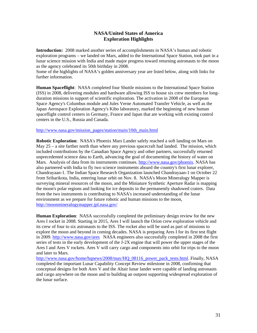#### **NASA/United States of America Exploration Highlights**

**Introduction:** 2008 marked another series of accomplishments in NASA's human and robotic exploration programs – we landed on Mars, added to the International Space Station, took part in a lunar science mission with India and made major progress toward returning astronauts to the moon as the agency celebrated its 50th birthday in 2008.

Some of the highlights of NASA's golden anniversary year are listed below, along with links for further information.

**Human Spaceflight**: NASA completed four Shuttle missions to the International Space Station (ISS) in 2008, delivering modules and hardware allowing ISS to house six crew members for longduration missions in support of scientific exploration. The activation in 2008 of the European Space Agency's Columbus module and Jules Verne Automated Transfer Vehicle, as well as the Japan Aerospace Exploration Agency's Kibo laboratory, marked the beginning of new human spaceflight control centers in Germany, France and Japan that are working with existing control centers in the U.S., Russia and Canada.

#### [http://www.nasa.gov/mission\\_pages/station/main/10th\\_main.html](http://www.nasa.gov/mission_pages/station/main/10th_main.html)

**Robotic Exploration**: NASA's Phoenix Mars Lander safely reached a soft landing on Mars on May  $25 - a$  site farther north than where any previous spacecraft had landed. The mission, which included contributions by the Canadian Space Agency and other partners, successfully returned unprecedented science data to Earth, advancing the goal of documenting the history of water on Mars. Analysis of data from its instruments continues. [http://www.nasa.gov/phoenix.](http://www.nasa.gov/phoenix) NASA has also partnered with India to fly two science instruments aboard the country's first lunar explorer, Chandrayaan-1. The Indian Space Research Organization launched Chandrayaan-1 on October 22 from Sriharikota, India, entering lunar orbit on Nov. 8. NASA's Moon Mineralogy Mapper is surveying mineral resources of the moon, and the Miniature Synthetic Aperture Radar is mapping the moon's polar regions and looking for ice deposits in the permanently shadowed craters. Data from the two instruments is contributing to NASA's increased understanding of the lunar environment as we prepare for future robotic and human missions to the moon, <http://moonmineralogymapper.jpl.nasa.gov/>

**Human Exploration**: NASA successfully completed the preliminary design review for the new Ares I rocket in 2008. Starting in 2015, Ares I will launch the Orion crew exploration vehicle and its crew of four to six astronauts to the ISS. The rocket also will be used as part of missions to explore the moon and beyond in coming decades. NASA is preparing Ares I for its first test flight in 2009.<http://www.nasa.gov/ares>NASA engineers also successfully completed in 2008 the first series of tests in the early development of the J-2X engine that will power the upper stages of the Ares I and Ares V rockets. Ares V will carry cargo and components into orbit for trips to the moon and later to Mars.

[http://www.nasa.gov/home/hqnews/2008/may/HQ\\_08116\\_power\\_pack\\_tests.html](http://www.nasa.gov/home/hqnews/2008/may/HQ_08116_power_pack_tests.html). Finally, NASA completed the important Lunar Capability Concept Review milestone in 2008, confirming that conceptual designs for both Ares V and the Altair lunar lander were capable of landing astronauts and cargo anywhere on the moon and to building an outpost supporting widespread exploration of the lunar surface.